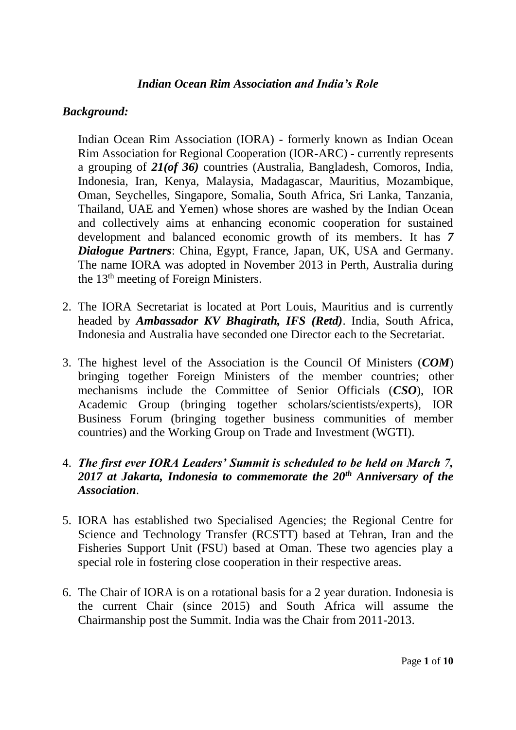### *Indian Ocean Rim Association and India's Role*

## *Background:*

Indian Ocean Rim Association (IORA) - formerly known as Indian Ocean Rim Association for Regional Cooperation (IOR-ARC) - currently represents a grouping of *21(of 36)* countries (Australia, Bangladesh, Comoros, India, Indonesia, Iran, Kenya, Malaysia, Madagascar, Mauritius, Mozambique, Oman, Seychelles, Singapore, Somalia, South Africa, Sri Lanka, Tanzania, Thailand, UAE and Yemen) whose shores are washed by the Indian Ocean and collectively aims at enhancing economic cooperation for sustained development and balanced economic growth of its members. It has *7 Dialogue Partners*: China, Egypt, France, Japan, UK, USA and Germany. The name IORA was adopted in November 2013 in Perth, Australia during the 13th meeting of Foreign Ministers.

- 2. The IORA Secretariat is located at Port Louis, Mauritius and is currently headed by *Ambassador KV Bhagirath, IFS (Retd)*. India, South Africa, Indonesia and Australia have seconded one Director each to the Secretariat.
- 3. The highest level of the Association is the Council Of Ministers (*COM*) bringing together Foreign Ministers of the member countries; other mechanisms include the Committee of Senior Officials (*CSO*), IOR Academic Group (bringing together scholars/scientists/experts), IOR Business Forum (bringing together business communities of member countries) and the Working Group on Trade and Investment (WGTI).

## 4. *The first ever IORA Leaders' Summit is scheduled to be held on March 7, 2017 at Jakarta, Indonesia to commemorate the 20th Anniversary of the Association*.

- 5. IORA has established two Specialised Agencies; the Regional Centre for Science and Technology Transfer (RCSTT) based at Tehran, Iran and the Fisheries Support Unit (FSU) based at Oman. These two agencies play a special role in fostering close cooperation in their respective areas.
- 6. The Chair of IORA is on a rotational basis for a 2 year duration. Indonesia is the current Chair (since 2015) and South Africa will assume the Chairmanship post the Summit. India was the Chair from 2011-2013.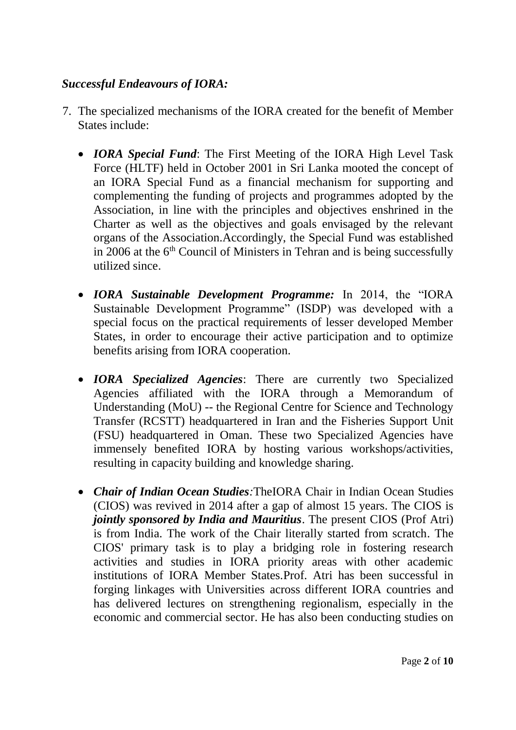# *Successful Endeavours of IORA:*

- 7. The specialized mechanisms of the IORA created for the benefit of Member States include:
	- *IORA Special Fund*: The First Meeting of the IORA High Level Task Force (HLTF) held in October 2001 in Sri Lanka mooted the concept of an IORA Special Fund as a financial mechanism for supporting and complementing the funding of projects and programmes adopted by the Association, in line with the principles and objectives enshrined in the Charter as well as the objectives and goals envisaged by the relevant organs of the Association.Accordingly, the Special Fund was established in 2006 at the  $6<sup>th</sup>$  Council of Ministers in Tehran and is being successfully utilized since.
	- *IORA Sustainable Development Programme:* In 2014, the "IORA Sustainable Development Programme" (ISDP) was developed with a special focus on the practical requirements of lesser developed Member States, in order to encourage their active participation and to optimize benefits arising from IORA cooperation.
	- *IORA Specialized Agencies*: There are currently two Specialized Agencies affiliated with the IORA through a Memorandum of Understanding (MoU) -- the Regional Centre for Science and Technology Transfer (RCSTT) headquartered in Iran and the Fisheries Support Unit (FSU) headquartered in Oman. These two Specialized Agencies have immensely benefited IORA by hosting various workshops/activities, resulting in capacity building and knowledge sharing.
	- *Chair of Indian Ocean Studies:*TheIORA Chair in Indian Ocean Studies (CIOS) was revived in 2014 after a gap of almost 15 years. The CIOS is *jointly sponsored by India and Mauritius*. The present CIOS (Prof Atri) is from India. The work of the Chair literally started from scratch. The CIOS' primary task is to play a bridging role in fostering research activities and studies in IORA priority areas with other academic institutions of IORA Member States.Prof. Atri has been successful in forging linkages with Universities across different IORA countries and has delivered lectures on strengthening regionalism, especially in the economic and commercial sector. He has also been conducting studies on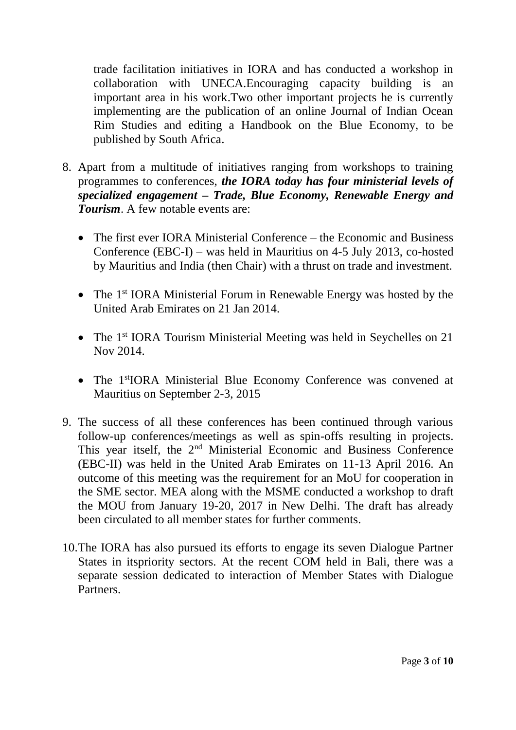trade facilitation initiatives in IORA and has conducted a workshop in collaboration with UNECA.Encouraging capacity building is an important area in his work.Two other important projects he is currently implementing are the publication of an online Journal of Indian Ocean Rim Studies and editing a Handbook on the Blue Economy, to be published by South Africa.

- 8. Apart from a multitude of initiatives ranging from workshops to training programmes to conferences, *the IORA today has four ministerial levels of specialized engagement – Trade, Blue Economy, Renewable Energy and Tourism*. A few notable events are:
	- The first ever IORA Ministerial Conference the Economic and Business Conference (EBC-I) – was held in Mauritius on 4-5 July 2013, co-hosted by Mauritius and India (then Chair) with a thrust on trade and investment.
	- The 1<sup>st</sup> IORA Ministerial Forum in Renewable Energy was hosted by the United Arab Emirates on 21 Jan 2014.
	- The 1<sup>st</sup> IORA Tourism Ministerial Meeting was held in Seychelles on 21 Nov 2014.
	- The 1<sup>st</sup>IORA Ministerial Blue Economy Conference was convened at Mauritius on September 2-3, 2015
- 9. The success of all these conferences has been continued through various follow-up conferences/meetings as well as spin-offs resulting in projects. This year itself, the 2<sup>nd</sup> Ministerial Economic and Business Conference (EBC-II) was held in the United Arab Emirates on 11-13 April 2016. An outcome of this meeting was the requirement for an MoU for cooperation in the SME sector. MEA along with the MSME conducted a workshop to draft the MOU from January 19-20, 2017 in New Delhi. The draft has already been circulated to all member states for further comments.
- 10.The IORA has also pursued its efforts to engage its seven Dialogue Partner States in itspriority sectors. At the recent COM held in Bali, there was a separate session dedicated to interaction of Member States with Dialogue Partners.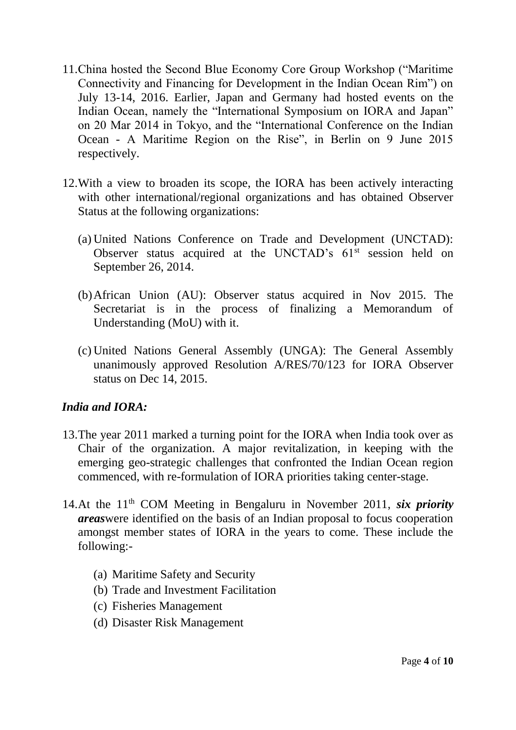- 11.China hosted the Second Blue Economy Core Group Workshop ("Maritime Connectivity and Financing for Development in the Indian Ocean Rim") on July 13-14, 2016. Earlier, Japan and Germany had hosted events on the Indian Ocean, namely the "International Symposium on IORA and Japan" on 20 Mar 2014 in Tokyo, and the "International Conference on the Indian Ocean - A Maritime Region on the Rise", in Berlin on 9 June 2015 respectively.
- 12.With a view to broaden its scope, the IORA has been actively interacting with other international/regional organizations and has obtained Observer Status at the following organizations:
	- (a) United Nations Conference on Trade and Development (UNCTAD): Observer status acquired at the UNCTAD's  $61<sup>st</sup>$  session held on September 26, 2014.
	- (b)African Union (AU): Observer status acquired in Nov 2015. The Secretariat is in the process of finalizing a Memorandum of Understanding (MoU) with it.
	- (c) United Nations General Assembly (UNGA): The General Assembly unanimously approved Resolution A/RES/70/123 for IORA Observer status on Dec 14, 2015.

# *India and IORA:*

- 13.The year 2011 marked a turning point for the IORA when India took over as Chair of the organization. A major revitalization, in keeping with the emerging geo-strategic challenges that confronted the Indian Ocean region commenced, with re-formulation of IORA priorities taking center-stage.
- 14.At the 11th COM Meeting in Bengaluru in November 2011, *six priority areas*were identified on the basis of an Indian proposal to focus cooperation amongst member states of IORA in the years to come. These include the following:-
	- (a) Maritime Safety and Security
	- (b) Trade and Investment Facilitation
	- (c) Fisheries Management
	- (d) Disaster Risk Management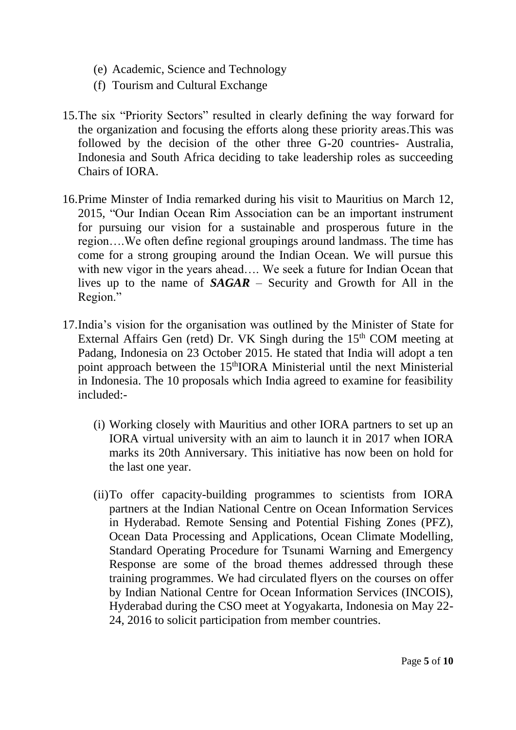- (e) Academic, Science and Technology
- (f) Tourism and Cultural Exchange
- 15.The six "Priority Sectors" resulted in clearly defining the way forward for the organization and focusing the efforts along these priority areas.This was followed by the decision of the other three G-20 countries- Australia, Indonesia and South Africa deciding to take leadership roles as succeeding Chairs of IORA.
- 16.Prime Minster of India remarked during his visit to Mauritius on March 12, 2015, "Our Indian Ocean Rim Association can be an important instrument for pursuing our vision for a sustainable and prosperous future in the region….We often define regional groupings around landmass. The time has come for a strong grouping around the Indian Ocean. We will pursue this with new vigor in the years ahead.... We seek a future for Indian Ocean that lives up to the name of *SAGAR* – Security and Growth for All in the Region."
- 17.India's vision for the organisation was outlined by the Minister of State for External Affairs Gen (retd) Dr. VK Singh during the  $15<sup>th</sup>$  COM meeting at Padang, Indonesia on 23 October 2015. He stated that India will adopt a ten point approach between the 15<sup>th</sup>IORA Ministerial until the next Ministerial in Indonesia. The 10 proposals which India agreed to examine for feasibility included:-
	- (i) Working closely with Mauritius and other IORA partners to set up an IORA virtual university with an aim to launch it in 2017 when IORA marks its 20th Anniversary. This initiative has now been on hold for the last one year.
	- (ii)To offer capacity-building programmes to scientists from IORA partners at the Indian National Centre on Ocean Information Services in Hyderabad. Remote Sensing and Potential Fishing Zones (PFZ), Ocean Data Processing and Applications, Ocean Climate Modelling, Standard Operating Procedure for Tsunami Warning and Emergency Response are some of the broad themes addressed through these training programmes. We had circulated flyers on the courses on offer by Indian National Centre for Ocean Information Services (INCOIS), Hyderabad during the CSO meet at Yogyakarta, Indonesia on May 22- 24, 2016 to solicit participation from member countries.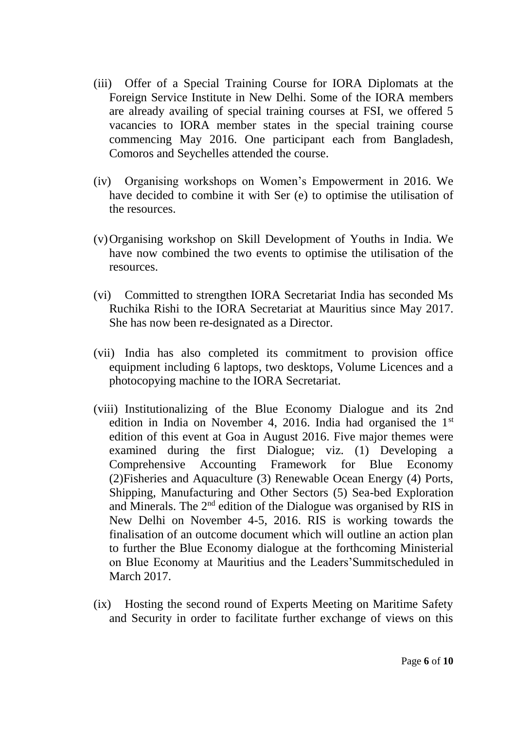- (iii) Offer of a Special Training Course for IORA Diplomats at the Foreign Service Institute in New Delhi. Some of the IORA members are already availing of special training courses at FSI, we offered 5 vacancies to IORA member states in the special training course commencing May 2016. One participant each from Bangladesh, Comoros and Seychelles attended the course.
- (iv) Organising workshops on Women's Empowerment in 2016. We have decided to combine it with Ser (e) to optimise the utilisation of the resources.
- (v)Organising workshop on Skill Development of Youths in India. We have now combined the two events to optimise the utilisation of the resources.
- (vi) Committed to strengthen IORA Secretariat India has seconded Ms Ruchika Rishi to the IORA Secretariat at Mauritius since May 2017. She has now been re-designated as a Director.
- (vii) India has also completed its commitment to provision office equipment including 6 laptops, two desktops, Volume Licences and a photocopying machine to the IORA Secretariat.
- (viii) Institutionalizing of the Blue Economy Dialogue and its 2nd edition in India on November 4, 2016. India had organised the 1<sup>st</sup> edition of this event at Goa in August 2016. Five major themes were examined during the first Dialogue; viz. (1) Developing a Comprehensive Accounting Framework for Blue Economy (2)Fisheries and Aquaculture (3) Renewable Ocean Energy (4) Ports, Shipping, Manufacturing and Other Sectors (5) Sea-bed Exploration and Minerals. The 2nd edition of the Dialogue was organised by RIS in New Delhi on November 4-5, 2016. RIS is working towards the finalisation of an outcome document which will outline an action plan to further the Blue Economy dialogue at the forthcoming Ministerial on Blue Economy at Mauritius and the Leaders'Summitscheduled in March 2017.
- (ix) Hosting the second round of Experts Meeting on Maritime Safety and Security in order to facilitate further exchange of views on this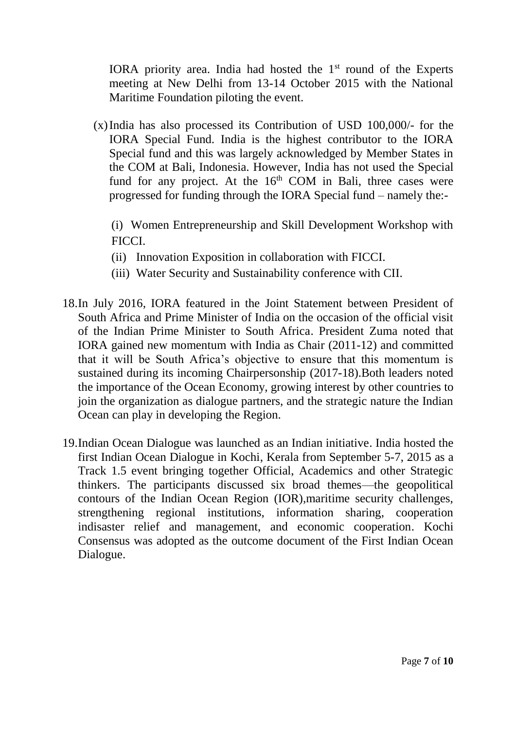IORA priority area. India had hosted the  $1<sup>st</sup>$  round of the Experts meeting at New Delhi from 13-14 October 2015 with the National Maritime Foundation piloting the event.

(x)India has also processed its Contribution of USD 100,000/- for the IORA Special Fund. India is the highest contributor to the IORA Special fund and this was largely acknowledged by Member States in the COM at Bali, Indonesia. However, India has not used the Special fund for any project. At the  $16<sup>th</sup>$  COM in Bali, three cases were progressed for funding through the IORA Special fund – namely the:-

(i) Women Entrepreneurship and Skill Development Workshop with FICCI.

- (ii) Innovation Exposition in collaboration with FICCI.
- (iii) Water Security and Sustainability conference with CII.
- 18.In July 2016, IORA featured in the Joint Statement between President of South Africa and Prime Minister of India on the occasion of the official visit of the Indian Prime Minister to South Africa. President Zuma noted that IORA gained new momentum with India as Chair (2011-12) and committed that it will be South Africa's objective to ensure that this momentum is sustained during its incoming Chairpersonship (2017-18).Both leaders noted the importance of the Ocean Economy, growing interest by other countries to join the organization as dialogue partners, and the strategic nature the Indian Ocean can play in developing the Region.
- 19.Indian Ocean Dialogue was launched as an Indian initiative. India hosted the first Indian Ocean Dialogue in Kochi, Kerala from September 5-7, 2015 as a Track 1.5 event bringing together Official, Academics and other Strategic thinkers. The participants discussed six broad themes—the geopolitical contours of the Indian Ocean Region (IOR),maritime security challenges, strengthening regional institutions, information sharing, cooperation indisaster relief and management, and economic cooperation. Kochi Consensus was adopted as the outcome document of the First Indian Ocean Dialogue.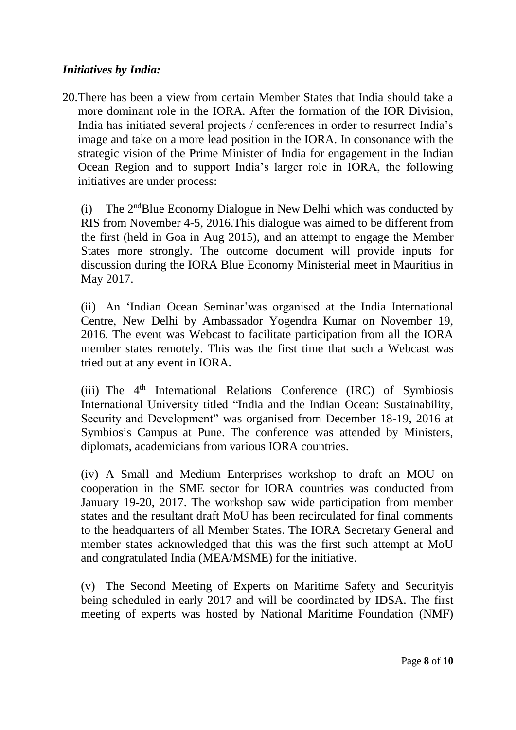#### *Initiatives by India:*

20.There has been a view from certain Member States that India should take a more dominant role in the IORA. After the formation of the IOR Division, India has initiated several projects / conferences in order to resurrect India's image and take on a more lead position in the IORA. In consonance with the strategic vision of the Prime Minister of India for engagement in the Indian Ocean Region and to support India's larger role in IORA, the following initiatives are under process:

(i) The 2<sup>nd</sup>Blue Economy Dialogue in New Delhi which was conducted by RIS from November 4-5, 2016.This dialogue was aimed to be different from the first (held in Goa in Aug 2015), and an attempt to engage the Member States more strongly. The outcome document will provide inputs for discussion during the IORA Blue Economy Ministerial meet in Mauritius in May 2017.

(ii) An 'Indian Ocean Seminar'was organised at the India International Centre, New Delhi by Ambassador Yogendra Kumar on November 19, 2016. The event was Webcast to facilitate participation from all the IORA member states remotely. This was the first time that such a Webcast was tried out at any event in IORA.

(iii) The  $4<sup>th</sup>$  International Relations Conference (IRC) of Symbiosis International University titled "India and the Indian Ocean: Sustainability, Security and Development" was organised from December 18-19, 2016 at Symbiosis Campus at Pune. The conference was attended by Ministers, diplomats, academicians from various IORA countries.

(iv) A Small and Medium Enterprises workshop to draft an MOU on cooperation in the SME sector for IORA countries was conducted from January 19-20, 2017. The workshop saw wide participation from member states and the resultant draft MoU has been recirculated for final comments to the headquarters of all Member States. The IORA Secretary General and member states acknowledged that this was the first such attempt at MoU and congratulated India (MEA/MSME) for the initiative.

(v) The Second Meeting of Experts on Maritime Safety and Securityis being scheduled in early 2017 and will be coordinated by IDSA. The first meeting of experts was hosted by National Maritime Foundation (NMF)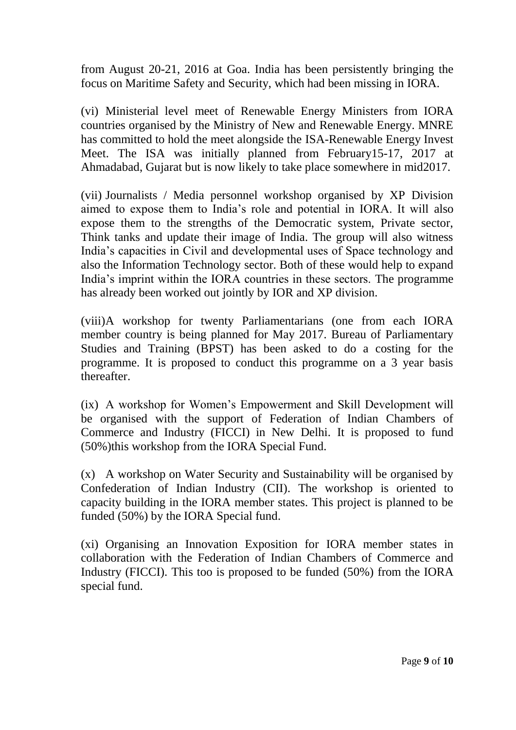from August 20-21, 2016 at Goa. India has been persistently bringing the focus on Maritime Safety and Security, which had been missing in IORA.

(vi) Ministerial level meet of Renewable Energy Ministers from IORA countries organised by the Ministry of New and Renewable Energy. MNRE has committed to hold the meet alongside the ISA-Renewable Energy Invest Meet. The ISA was initially planned from February15-17, 2017 at Ahmadabad, Gujarat but is now likely to take place somewhere in mid2017.

(vii) Journalists / Media personnel workshop organised by XP Division aimed to expose them to India's role and potential in IORA. It will also expose them to the strengths of the Democratic system, Private sector, Think tanks and update their image of India. The group will also witness India's capacities in Civil and developmental uses of Space technology and also the Information Technology sector. Both of these would help to expand India's imprint within the IORA countries in these sectors. The programme has already been worked out jointly by IOR and XP division.

(viii)A workshop for twenty Parliamentarians (one from each IORA member country is being planned for May 2017. Bureau of Parliamentary Studies and Training (BPST) has been asked to do a costing for the programme. It is proposed to conduct this programme on a 3 year basis thereafter.

(ix) A workshop for Women's Empowerment and Skill Development will be organised with the support of Federation of Indian Chambers of Commerce and Industry (FICCI) in New Delhi. It is proposed to fund (50%)this workshop from the IORA Special Fund.

(x) A workshop on Water Security and Sustainability will be organised by Confederation of Indian Industry (CII). The workshop is oriented to capacity building in the IORA member states. This project is planned to be funded (50%) by the IORA Special fund.

(xi) Organising an Innovation Exposition for IORA member states in collaboration with the Federation of Indian Chambers of Commerce and Industry (FICCI). This too is proposed to be funded (50%) from the IORA special fund.